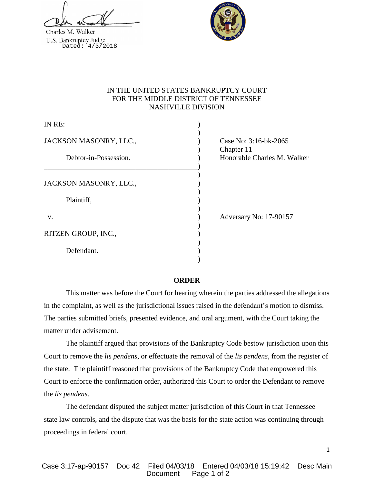Charles M. Walker U.S. Bankruptcy Judge<br>Dated: 4/3/2018



# IN THE UNITED STATES BANKRUPTCY COURT FOR THE MIDDLE DISTRICT OF TENNESSEE NASHVILLE DIVISION

| IN RE:                 |  |
|------------------------|--|
| JACKSON MASONRY, LLC., |  |
| Debtor-in-Possession.  |  |
| JACKSON MASONRY, LLC., |  |
| Plaintiff,             |  |
| V.                     |  |
| RITZEN GROUP, INC.,    |  |
| Defendant.             |  |

Case No: 3:16-bk-2065 ) Chapter 11 Honorable Charles M. Walker

Adversary No: 17-90157

1

## **ORDER**

This matter was before the Court for hearing wherein the parties addressed the allegations in the complaint, as well as the jurisdictional issues raised in the defendant's motion to dismiss. The parties submitted briefs, presented evidence, and oral argument, with the Court taking the matter under advisement.

The plaintiff argued that provisions of the Bankruptcy Code bestow jurisdiction upon this Court to remove the *lis pendens*, or effectuate the removal of the *lis pendens,* from the register of the state. The plaintiff reasoned that provisions of the Bankruptcy Code that empowered this Court to enforce the confirmation order, authorized this Court to order the Defendant to remove the *lis pendens*.

The defendant disputed the subject matter jurisdiction of this Court in that Tennessee state law controls, and the dispute that was the basis for the state action was continuing through proceedings in federal court.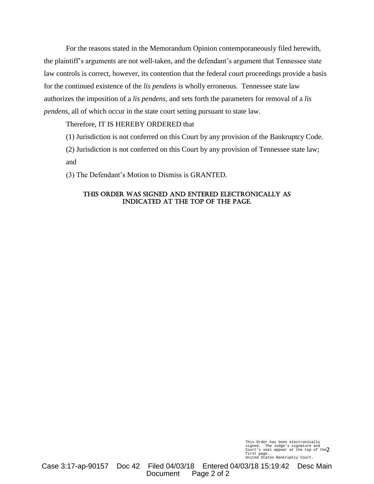For the reasons stated in the Memorandum Opinion contemporaneously filed herewith, the plaintiff's arguments are not well-taken, and the defendant's argument that Tennessee state law controls is correct, however, its contention that the federal court proceedings provide a basis for the continued existence of the *lis pendens* is wholly erroneous. Tennessee state law authorizes the imposition of a *lis pendens*, and sets forth the parameters for removal of a *lis pendens*, all of which occur in the state court setting pursuant to state law.

# Therefore, IT IS HEREBY ORDERED that

(1) Jurisdiction is not conferred on this Court by any provision of the Bankruptcy Code.

(2) Jurisdiction is not conferred on this Court by any provision of Tennessee state law; and

(3) The Defendant's Motion to Dismiss is GRANTED.

## This Order was signed and entered electronically as indicated at the top of the page.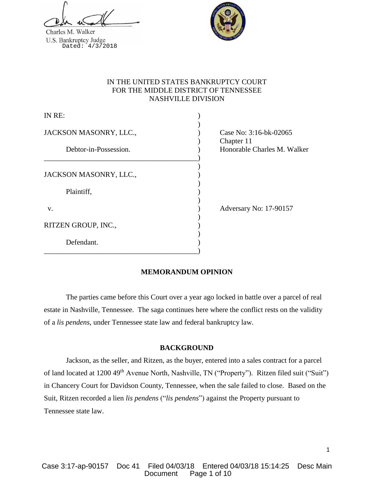Charles M. Walker U.S. Bankruptcy Judge<br>Dated: 4/3/2018



# IN THE UNITED STATES BANKRUPTCY COURT FOR THE MIDDLE DISTRICT OF TENNESSEE NASHVILLE DIVISION

| IN RE:                 |  |
|------------------------|--|
| JACKSON MASONRY, LLC., |  |
| Debtor-in-Possession.  |  |
| JACKSON MASONRY, LLC., |  |
| Plaintiff,             |  |
| V.                     |  |
| RITZEN GROUP, INC.,    |  |
| Defendant.             |  |

Case No: 3:16-bk-02065 ) Chapter 11 Honorable Charles M. Walker

Adversary No: 17-90157

# **MEMORANDUM OPINION**

The parties came before this Court over a year ago locked in battle over a parcel of real estate in Nashville, Tennessee. The saga continues here where the conflict rests on the validity of a *lis pendens*, under Tennessee state law and federal bankruptcy law.

# **BACKGROUND**

Jackson, as the seller, and Ritzen, as the buyer, entered into a sales contract for a parcel of land located at 1200 49<sup>th</sup> Avenue North, Nashville, TN ("Property"). Ritzen filed suit ("Suit") in Chancery Court for Davidson County, Tennessee, when the sale failed to close. Based on the Suit, Ritzen recorded a lien *lis pendens* ("*lis pendens*") against the Property pursuant to Tennessee state law.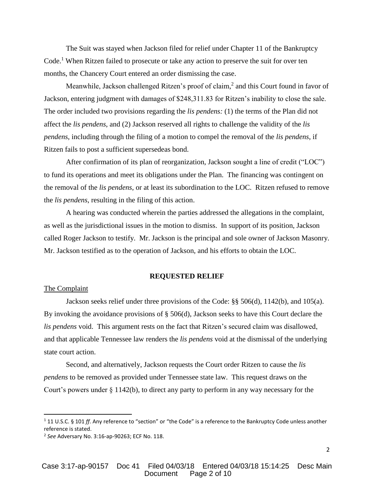The Suit was stayed when Jackson filed for relief under Chapter 11 of the Bankruptcy Code.<sup>1</sup> When Ritzen failed to prosecute or take any action to preserve the suit for over ten months, the Chancery Court entered an order dismissing the case.

Meanwhile, Jackson challenged Ritzen's proof of claim,<sup>2</sup> and this Court found in favor of Jackson, entering judgment with damages of \$248,311.83 for Ritzen's inability to close the sale. The order included two provisions regarding the *lis pendens:* (1) the terms of the Plan did not affect the *lis pendens*, and (2) Jackson reserved all rights to challenge the validity of the *lis pendens*, including through the filing of a motion to compel the removal of the *lis pendens*, if Ritzen fails to post a sufficient supersedeas bond.

After confirmation of its plan of reorganization, Jackson sought a line of credit ("LOC") to fund its operations and meet its obligations under the Plan. The financing was contingent on the removal of the *lis pendens*, or at least its subordination to the LOC. Ritzen refused to remove the *lis pendens*, resulting in the filing of this action.

A hearing was conducted wherein the parties addressed the allegations in the complaint, as well as the jurisdictional issues in the motion to dismiss. In support of its position, Jackson called Roger Jackson to testify. Mr. Jackson is the principal and sole owner of Jackson Masonry. Mr. Jackson testified as to the operation of Jackson, and his efforts to obtain the LOC.

#### **REQUESTED RELIEF**

## The Complaint

 $\overline{\phantom{a}}$ 

Jackson seeks relief under three provisions of the Code: §§ 506(d), 1142(b), and 105(a). By invoking the avoidance provisions of § 506(d), Jackson seeks to have this Court declare the *lis pendens* void. This argument rests on the fact that Ritzen's secured claim was disallowed, and that applicable Tennessee law renders the *lis pendens* void at the dismissal of the underlying state court action.

Second, and alternatively, Jackson requests the Court order Ritzen to cause the *lis pendens* to be removed as provided under Tennessee state law. This request draws on the Court's powers under § 1142(b), to direct any party to perform in any way necessary for the

<sup>1</sup> 11 U.S.C. § 101 *ff*. Any reference to "section" or "the Code" is a reference to the Bankruptcy Code unless another reference is stated.

<sup>2</sup> *See* Adversary No. 3:16-ap-90263; ECF No. 118.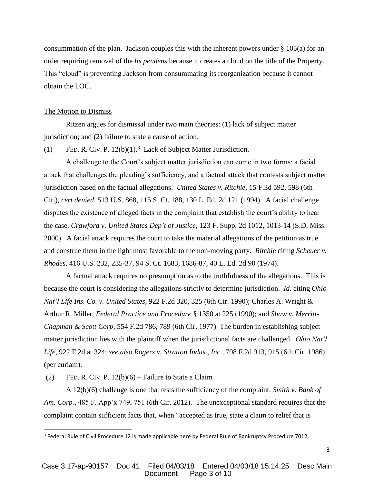consummation of the plan. Jackson couples this with the inherent powers under  $\S$  105(a) for an order requiring removal of the *lis pendens* because it creates a cloud on the title of the Property. This "cloud" is preventing Jackson from consummating its reorganization because it cannot obtain the LOC.

## The Motion to Dismiss

Ritzen argues for dismissal under two main theories: (1) lack of subject matter jurisdiction; and (2) failure to state a cause of action.

(1) FED. R. CIV. P.  $12(b)(1)$ .<sup>3</sup> Lack of Subject Matter Jurisdiction.

A challenge to the Court's subject matter jurisdiction can come in two forms: a facial attack that challenges the pleading's sufficiency, and a factual attack that contests subject matter jurisdiction based on the factual allegations. *United States v. Ritchie*, 15 F.3d 592, 598 (6th Cir.), *cert denied*, 513 U.S. 868, 115 S. Ct. 188, 130 L. Ed. 2d 121 (1994). A facial challenge disputes the existence of alleged facts in the complaint that establish the court's ability to hear the case. *Crawford v. United States Dep't of Justice*, 123 F. Supp. 2d 1012, 1013-14 (S.D. Miss. 2000). A facial attack requires the court to take the material allegations of the petition as true and construe them in the light most favorable to the non-moving party. *Ritchie* citing *Scheuer v. Rhodes*, 416 U.S. 232, 235-37, 94 S. Ct. 1683, 1686-87, 40 L. Ed. 2d 90 (1974).

A factual attack requires no presumption as to the truthfulness of the allegations. This is because the court is considering the allegations strictly to determine jurisdiction. *Id.* citing *Ohio Nat'l Life Ins. Co. v. United States*, 922 F.2d 320, 325 (6th Cir. 1990); Charles A. Wright & Arthur R. Miller, *Federal Practice and Procedure* § 1350 at 225 (1990); and *Shaw v. Merritt-Chapman & Scott Corp*, 554 F.2d 786, 789 (6th Cir. 1977) The burden in establishing subject matter jurisdiction lies with the plaintiff when the jurisdictional facts are challenged. *Ohio Nat'l Life*, 922 F.2d at 324; *see also Rogers v. Stratton Indus., Inc*., 798 F.2d 913, 915 (6th Cir. 1986) (per curiam).

(2) FED. R. CIV. P.  $12(b)(6)$  – Failure to State a Claim

 $\overline{\phantom{a}}$ 

A 12(b)(6) challenge is one that tests the sufficiency of the complaint. *Smith v. Bank of Am. Corp.*, 485 F. App'x 749, 751 (6th Cir. 2012). The unexceptional standard requires that the complaint contain sufficient facts that, when "accepted as true, state a claim to relief that is

<sup>&</sup>lt;sup>3</sup> Federal Rule of Civil Procedure 12 is made applicable here by Federal Rule of Bankruptcy Procedure 7012.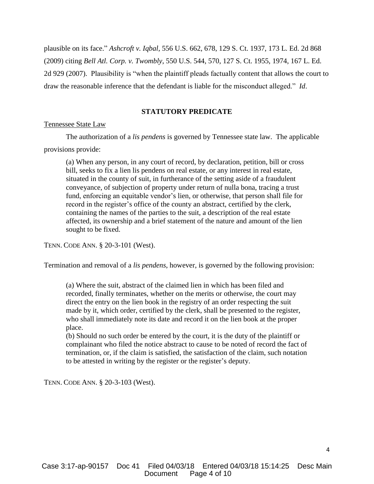plausible on its face." *Ashcroft v. Iqbal*, 556 U.S. 662, 678, 129 S. Ct. 1937, 173 L. Ed. 2d 868 (2009) citing *Bell Atl. Corp. v. Twombly*, 550 U.S. 544, 570, 127 S. Ct. 1955, 1974, 167 L. Ed. 2d 929 (2007). Plausibility is "when the plaintiff pleads factually content that allows the court to draw the reasonable inference that the defendant is liable for the misconduct alleged." *Id*.

#### **STATUTORY PREDICATE**

#### Tennessee State Law

The authorization of a *lis pendens* is governed by Tennessee state law. The applicable provisions provide:

(a) When any person, in any court of record, by declaration, petition, bill or cross bill, seeks to fix a lien lis pendens on real estate, or any interest in real estate, situated in the county of suit, in furtherance of the setting aside of a fraudulent conveyance, of subjection of property under return of nulla bona, tracing a trust fund, enforcing an equitable vendor's lien, or otherwise, that person shall file for record in the register's office of the county an abstract, certified by the clerk, containing the names of the parties to the suit, a description of the real estate affected, its ownership and a brief statement of the nature and amount of the lien sought to be fixed.

TENN. CODE ANN. § 20-3-101 (West).

Termination and removal of a *lis pendens*, however, is governed by the following provision:

(a) Where the suit, abstract of the claimed lien in which has been filed and recorded, finally terminates, whether on the merits or otherwise, the court may direct the entry on the lien book in the registry of an order respecting the suit made by it, which order, certified by the clerk, shall be presented to the register, who shall immediately note its date and record it on the lien book at the proper place.

(b) Should no such order be entered by the court, it is the duty of the plaintiff or complainant who filed the notice abstract to cause to be noted of record the fact of termination, or, if the claim is satisfied, the satisfaction of the claim, such notation to be attested in writing by the register or the register's deputy.

TENN. CODE ANN. § 20-3-103 (West).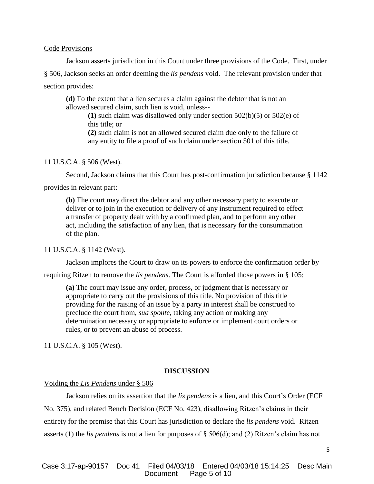## Code Provisions

Jackson asserts jurisdiction in this Court under three provisions of the Code. First, under § 506, Jackson seeks an order deeming the *lis pendens* void. The relevant provision under that section provides:

**(d)** To the extent that a lien secures a claim against the debtor that is not an allowed secured claim, such lien is void, unless--

**(1)** such claim was disallowed only under section 502(b)(5) or 502(e) of this title; or

**(2)** such claim is not an allowed secured claim due only to the failure of any entity to file a proof of such claim under section 501 of this title.

#### 11 U.S.C.A. § 506 (West).

Second, Jackson claims that this Court has post-confirmation jurisdiction because § 1142

provides in relevant part:

**(b)** The court may direct the debtor and any other necessary party to execute or deliver or to join in the execution or delivery of any instrument required to effect a transfer of property dealt with by a confirmed plan, and to perform any other act, including the satisfaction of any lien, that is necessary for the consummation of the plan.

#### 11 U.S.C.A. § 1142 (West).

Jackson implores the Court to draw on its powers to enforce the confirmation order by

requiring Ritzen to remove the *lis pendens*. The Court is afforded those powers in § 105:

**(a)** The court may issue any order, process, or judgment that is necessary or appropriate to carry out the provisions of this title. No provision of this title providing for the raising of an issue by a party in interest shall be construed to preclude the court from, *sua sponte*, taking any action or making any determination necessary or appropriate to enforce or implement court orders or rules, or to prevent an abuse of process.

11 U.S.C.A. § 105 (West).

## **DISCUSSION**

#### Voiding the *Lis Pendens* under § 506

Jackson relies on its assertion that the *lis pendens* is a lien, and this Court's Order (ECF No. 375), and related Bench Decision (ECF No. 423), disallowing Ritzen's claims in their entirety for the premise that this Court has jurisdiction to declare the *lis pendens* void. Ritzen asserts (1) the *lis pendens* is not a lien for purposes of § 506(d); and (2) Ritzen's claim has not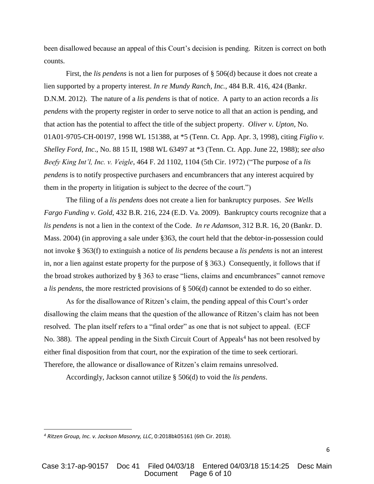been disallowed because an appeal of this Court's decision is pending. Ritzen is correct on both counts.

First, the *lis pendens* is not a lien for purposes of § 506(d) because it does not create a lien supported by a property interest. *In re Mundy Ranch, Inc.*, 484 B.R. 416, 424 (Bankr. D.N.M. 2012). The nature of a *lis pendens* is that of notice. A party to an action records a *lis pendens* with the property register in order to serve notice to all that an action is pending, and that action has the potential to affect the title of the subject property. *Oliver v. Upton*, No. 01A01-9705-CH-00197, 1998 WL 151388, at \*5 (Tenn. Ct. App. Apr. 3, 1998), citing *Figlio v. Shelley Ford, Inc*., No. 88 15 II, 1988 WL 63497 at \*3 (Tenn. Ct. App. June 22, 1988); *see also Beefy King Int'l, Inc. v. Veigle*, 464 F. 2d 1102, 1104 (5th Cir. 1972) ("The purpose of a *lis pendens* is to notify prospective purchasers and encumbrancers that any interest acquired by them in the property in litigation is subject to the decree of the court.")

The filing of a *lis pendens* does not create a lien for bankruptcy purposes. *See Wells Fargo Funding v. Gold*, 432 B.R. 216, 224 (E.D. Va. 2009). Bankruptcy courts recognize that a *lis pendens* is not a lien in the context of the Code. *In re Adamson*, 312 B.R. 16, 20 (Bankr. D. Mass. 2004) (in approving a sale under §363, the court held that the debtor-in-possession could not invoke § 363(f) to extinguish a notice of *lis pendens* because a *lis pendens* is not an interest in, nor a lien against estate property for the purpose of § 363.) Consequently, it follows that if the broad strokes authorized by § 363 to erase "liens, claims and encumbrances" cannot remove a *lis pendens*, the more restricted provisions of § 506(d) cannot be extended to do so either.

As for the disallowance of Ritzen's claim, the pending appeal of this Court's order disallowing the claim means that the question of the allowance of Ritzen's claim has not been resolved. The plan itself refers to a "final order" as one that is not subject to appeal. (ECF No. 388). The appeal pending in the Sixth Circuit Court of Appeals<sup>4</sup> has not been resolved by either final disposition from that court, nor the expiration of the time to seek certiorari. Therefore, the allowance or disallowance of Ritzen's claim remains unresolved.

Accordingly, Jackson cannot utilize § 506(d) to void the *lis pendens*.

 $\overline{\phantom{a}}$ 

*<sup>4</sup> Ritzen Group, Inc. v. Jackson Masonry, LLC*, 0:2018bk05161 (6th Cir. 2018).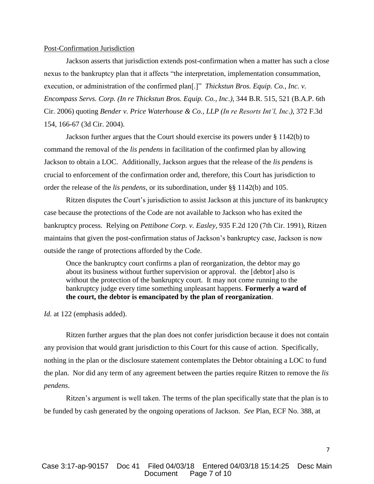#### Post-Confirmation Jurisdiction

Jackson asserts that jurisdiction extends post-confirmation when a matter has such a close nexus to the bankruptcy plan that it affects "the interpretation, implementation consummation, execution, or administration of the confirmed plan<sup>[1]</sup> *Thickstun Bros. Equip. Co., Inc. v. Encompass Servs. Corp. (In re Thickstun Bros. Equip. Co., Inc*.*)*, 344 B.R. 515, 521 (B.A.P. 6th Cir. 2006) quoting *Bender v. Price Waterhouse & Co., LLP (In re Resorts Int'l, Inc*.*)*, 372 F.3d 154, 166-67 (3d Cir. 2004).

Jackson further argues that the Court should exercise its powers under § 1142(b) to command the removal of the *lis pendens* in facilitation of the confirmed plan by allowing Jackson to obtain a LOC. Additionally, Jackson argues that the release of the *lis pendens* is crucial to enforcement of the confirmation order and, therefore, this Court has jurisdiction to order the release of the *lis pendens*, or its subordination, under §§ 1142(b) and 105.

Ritzen disputes the Court's jurisdiction to assist Jackson at this juncture of its bankruptcy case because the protections of the Code are not available to Jackson who has exited the bankruptcy process. Relying on *Pettibone Corp. v. Easley*, 935 F.2d 120 (7th Cir. 1991), Ritzen maintains that given the post-confirmation status of Jackson's bankruptcy case, Jackson is now outside the range of protections afforded by the Code.

Once the bankruptcy court confirms a plan of reorganization, the debtor may go about its business without further supervision or approval. the [debtor] also is without the protection of the bankruptcy court. It may not come running to the bankruptcy judge every time something unpleasant happens. **Formerly a ward of the court, the debtor is emancipated by the plan of reorganization**.

*Id.* at 122 (emphasis added).

Ritzen further argues that the plan does not confer jurisdiction because it does not contain any provision that would grant jurisdiction to this Court for this cause of action. Specifically, nothing in the plan or the disclosure statement contemplates the Debtor obtaining a LOC to fund the plan. Nor did any term of any agreement between the parties require Ritzen to remove the *lis pendens*.

Ritzen's argument is well taken. The terms of the plan specifically state that the plan is to be funded by cash generated by the ongoing operations of Jackson. *See* Plan, ECF No. 388, at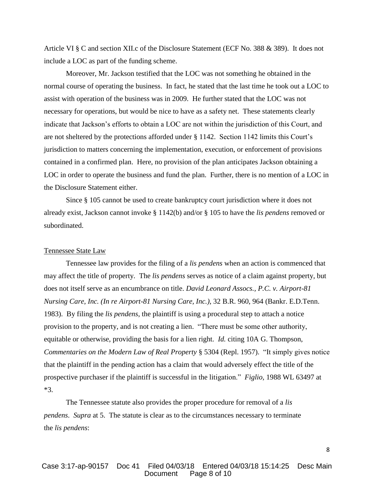Article VI § C and section XII.c of the Disclosure Statement (ECF No. 388 & 389). It does not include a LOC as part of the funding scheme.

Moreover, Mr. Jackson testified that the LOC was not something he obtained in the normal course of operating the business. In fact, he stated that the last time he took out a LOC to assist with operation of the business was in 2009. He further stated that the LOC was not necessary for operations, but would be nice to have as a safety net. These statements clearly indicate that Jackson's efforts to obtain a LOC are not within the jurisdiction of this Court, and are not sheltered by the protections afforded under § 1142. Section 1142 limits this Court's jurisdiction to matters concerning the implementation, execution, or enforcement of provisions contained in a confirmed plan. Here, no provision of the plan anticipates Jackson obtaining a LOC in order to operate the business and fund the plan. Further, there is no mention of a LOC in the Disclosure Statement either.

Since § 105 cannot be used to create bankruptcy court jurisdiction where it does not already exist, Jackson cannot invoke § 1142(b) and/or § 105 to have the *lis pendens* removed or subordinated.

## Tennessee State Law

Tennessee law provides for the filing of a *lis pendens* when an action is commenced that may affect the title of property. The *lis pendens* serves as notice of a claim against property, but does not itself serve as an encumbrance on title. *David Leonard Assocs., P.C. v. Airport-81 Nursing Care, Inc. (In re Airport-81 Nursing Care, Inc.)*, 32 B.R. 960, 964 (Bankr. E.D.Tenn. 1983). By filing the *lis pendens*, the plaintiff is using a procedural step to attach a notice provision to the property, and is not creating a lien. "There must be some other authority, equitable or otherwise, providing the basis for a lien right. *Id.* citing 10A G. Thompson, *Commentaries on the Modern Law of Real Property* § 5304 (Repl. 1957). "It simply gives notice that the plaintiff in the pending action has a claim that would adversely effect the title of the prospective purchaser if the plaintiff is successful in the litigation." *Figlio,* 1988 WL 63497 at \*3.

The Tennessee statute also provides the proper procedure for removal of a *lis pendens*. *Supra* at 5. The statute is clear as to the circumstances necessary to terminate the *lis pendens*: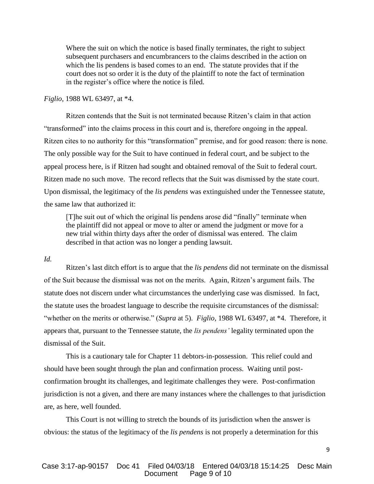Where the suit on which the notice is based finally terminates, the right to subject subsequent purchasers and encumbrancers to the claims described in the action on which the lis pendens is based comes to an end. The statute provides that if the court does not so order it is the duty of the plaintiff to note the fact of termination in the register's office where the notice is filed.

### *Figlio,* 1988 WL 63497, at \*4.

Ritzen contends that the Suit is not terminated because Ritzen's claim in that action "transformed" into the claims process in this court and is, therefore ongoing in the appeal. Ritzen cites to no authority for this "transformation" premise, and for good reason: there is none. The only possible way for the Suit to have continued in federal court, and be subject to the appeal process here, is if Ritzen had sought and obtained removal of the Suit to federal court. Ritzen made no such move. The record reflects that the Suit was dismissed by the state court. Upon dismissal, the legitimacy of the *lis pendens* was extinguished under the Tennessee statute, the same law that authorized it:

[T]he suit out of which the original lis pendens arose did "finally" terminate when the plaintiff did not appeal or move to alter or amend the judgment or move for a new trial within thirty days after the order of dismissal was entered. The claim described in that action was no longer a pending lawsuit.

#### *Id.*

Ritzen's last ditch effort is to argue that the *lis pendens* did not terminate on the dismissal of the Suit because the dismissal was not on the merits. Again, Ritzen's argument fails. The statute does not discern under what circumstances the underlying case was dismissed. In fact, the statute uses the broadest language to describe the requisite circumstances of the dismissal: "whether on the merits or otherwise." (*Supra* at 5). *Figlio,* 1988 WL 63497, at \*4. Therefore, it appears that, pursuant to the Tennessee statute, the *lis pendens'* legality terminated upon the dismissal of the Suit.

This is a cautionary tale for Chapter 11 debtors-in-possession. This relief could and should have been sought through the plan and confirmation process. Waiting until postconfirmation brought its challenges, and legitimate challenges they were. Post-confirmation jurisdiction is not a given, and there are many instances where the challenges to that jurisdiction are, as here, well founded.

This Court is not willing to stretch the bounds of its jurisdiction when the answer is obvious: the status of the legitimacy of the *lis pendens* is not properly a determination for this

## Case 3:17-ap-90157 Doc 41 Filed 04/03/18 Entered 04/03/18 15:14:25 Desc Main Page 9 of 10